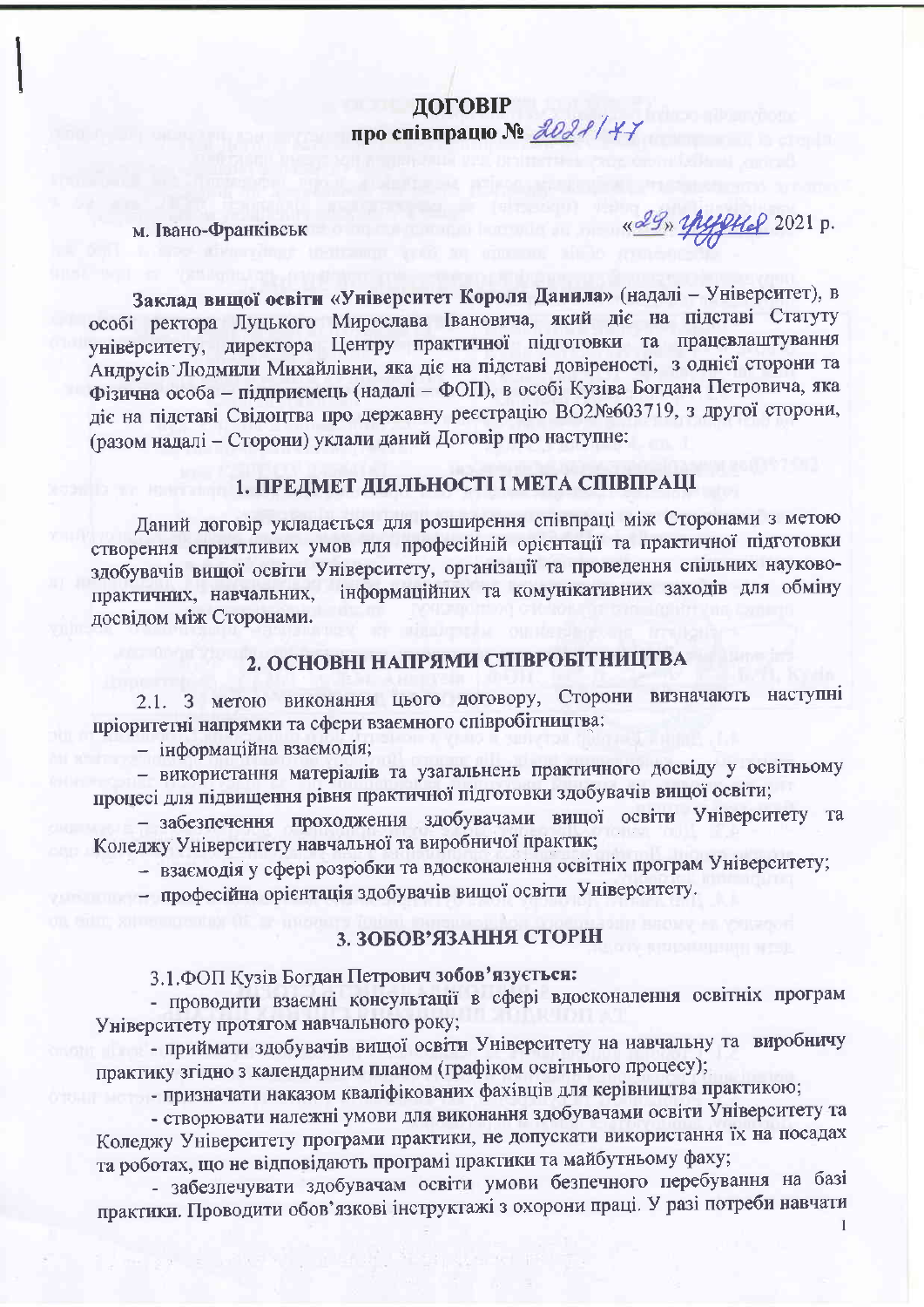ДОГОВІР про співпрацю № 2021/47

м. Івано-Франківськ

«29» yhyyyye 2021 p.

Заклад вищої освіти «Університет Короля Данила» (надалі - Університет), в особі ректора Луцького Мирослава Івановича, який діє на підставі Статуту університету, директора Центру практичної підготовки та працевлаштування Андрусів Людмили Михайлівни, яка діє на підставі довіреності, з однієї сторони та Фізична особа - підприємець (надалі - ФОП), в особі Кузіва Богдана Петровича, яка діє на підставі Свідоцтва про державну реєстрацію ВО2№603719, з другої сторони, (разом надалі - Сторони) уклали даний Договір про наступне:

# 1. ПРЕДМЕТ ДІЯЛЬНОСТІ І МЕТА СПІВПРАЦІ

Даний договір укладається для розширення співпраці між Сторонами з метою створення сприятливих умов для професійній орієнтації та практичної підготовки здобувачів вищої освіти Університету, організації та проведення спільних науковоінформаційних та комунікативних заходів для обміну практичних, навчальних, досвідом між Сторонами.

#### 2. ОСНОВНІ НАПРЯМИ СПІВРОБІТНИЦТВА

2.1. З метою виконання цього договору, Сторони визначають наступні пріоритетні напрямки та сфери взаємного співробітництва:

- інформаційна взаємодія;

- використання матеріалів та узагальнень практичного досвіду у освітньому процесі для підвищення рівня практичної підготовки здобувачів вищої освіти;

- забезпечення проходження здобувачами вищої освіти Університету та Коледжу Університету навчальної та виробничої практик;

- взаємодія у сфері розробки та вдосконалення освітніх програм Університету;

- професійна орієнтація здобувачів вищої освіти Університету.

#### 3. ЗОБОВ'ЯЗАННЯ СТОРІН

3.1. ФОП Кузів Богдан Петрович зобов'язується:

- проводити взаємні консультації в сфері вдосконалення освітніх програм Університету протягом навчального року;

- приймати здобувачів вищої освіти Університету на навчальну та виробничу практику згідно з календарним планом (графіком освітнього процесу);

- призначати наказом кваліфікованих фахівців для керівництва практикою;

- створювати належні умови для виконання здобувачами освіти Університету та Коледжу Університету програми практики, не допускати використання їх на посадах та роботах, що не відповідають програмі практики та майбутньому фаху;

- забезпечувати здобувачам освіти умови безпечного перебування на базі практики. Проводити обов'язкові інструктажі з охорони праці. У разі потреби навчати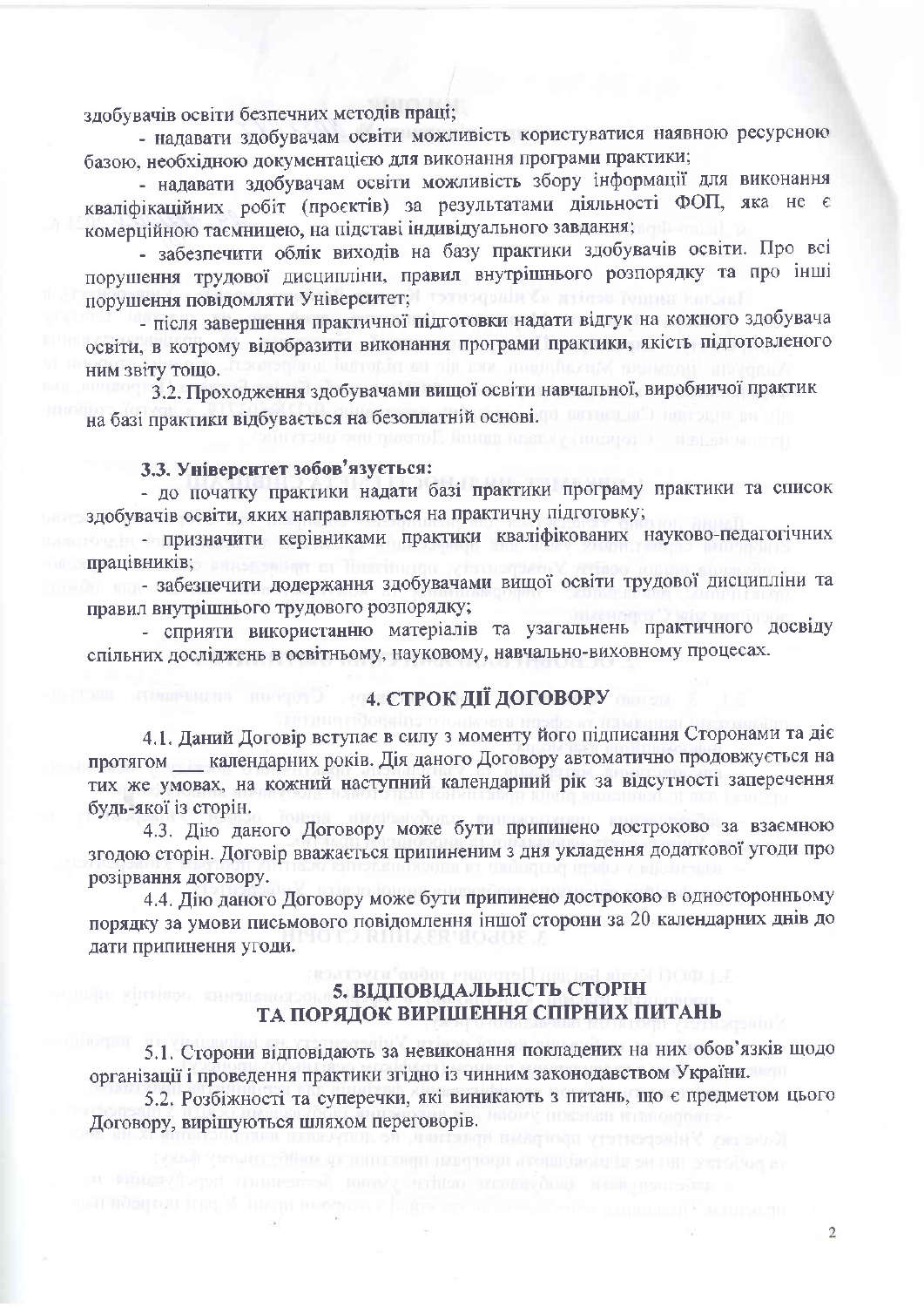здобувачів освіти безпечних методів праці;

- надавати здобувачам освіти можливість користуватися наявною ресурсною базою, необхідною документацією для виконання програми практики;

- надавати здобувачам освіти можливість збору інформації для виконання кваліфікаційних робіт (проєктів) за результатами діяльності ФОП, яка не є комерційною таємницею, на підставі індивідуального завдання;

- забезпечити облік виходів на базу практики здобувачів освіти. Про всі порушення трудової дисципліни, правил внутрішнього розпорядку та про інші порушення повідомляти Університет; потиворили са найтає топлив на

- після завершення практичної підготовки надати відгук на кожного здобувача освіти, в котрому відобразити виконання програми практики, якість підготовленого ним звіту тошо.

3.2. Проходження здобувачами вищої освіти навчальної, виробничої практик на базі практики відбувається на безоплатній основі. По полити в політи

#### 3.3. Університет зобов'язується:

- до початку практики надати базі практики програму практики та список здобувачів освіти, яких направляються на практичну підготовку;

почал - призначити керівниками практики кваліфікованих науково-педагогічних працівників;

забезпечити додержання здобувачами вищої освіти трудової дисципліни та правил внутрішнього трудового розпорядку;

- сприяти використанню матеріалів та узагальнень практичного досвіду спільних досліджень в освітньому, науковому, навчально-виховному процесах.

## 4. СТРОК ДІЇ ДОГОВОРУ

4.1. Даний Договір вступає в силу з моменту його підписання Сторонами та діє протягом \_\_ календарних років. Дія даного Договору автоматично продовжується на тих же умовах, на кожний наступний календарний рік за відсутності заперечення будь-якої із сторін.

4.3. Дію даного Договору може бути припинено достроково за взаємною згодою сторін. Договір вважається припиненим з дня укладення додаткової угоди про розірвання договору.

4.4. Дію даного Договору може бути припинено достроково в односторонньому порядку за умови письмового повідомлення іншої сторони за 20 календарних днів до дати припинення угоди.

# **Принцеп Каналия и 5. ВІДПОВІДАЛЬНІСТЬ СТОРІН** ТА ПОРЯДОК ВИРІШЕННЯ СПІРНИХ ПИТАНЬ

5.1. Сторони відповідають за невиконання покладених на них обов'язків щодо організації і проведення практики згідно із чинним законодавством України.

5.2. Розбіжності та суперечки, які виникають з питань, що є предметом цього Договору, вирішуються шляхом переговорів.